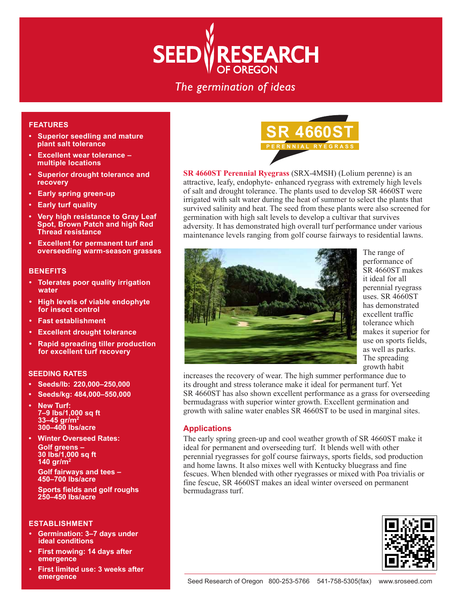# **SEEDVRESEARCH**

# The germination of ideas

### **FEATURES**

- **Superior seedling and mature plant salt tolerance**
- **Excellent wear tolerance multiple locations**
- **Superior drought tolerance and recovery**
- **Early spring green-up**
- **Early turf quality**
- **Very high resistance to Gray Leaf Spot, Brown Patch and high Red Thread resistance**
- **Excellent for permanent turf and overseeding warm-season grasses**

#### **BENEFITS**

- **Tolerates poor quality irrigation water**
- **High levels of viable endophyte for insect control**
- **Fast establishment**
- **Excellent drought tolerance**
- **Rapid spreading tiller production for excellent turf recovery**

#### **SEEDING RATES**

- **Seeds/lb: 220,000–250,000**
- **Seeds/kg: 484,000–550,000**
- **New Turf: 7–9 lbs/1,000 sq ft 33–45 gr/m2 300–400 lbs/acre**
- **Winter Overseed Rates: Golf greens – 30 lbs/1,000 sq ft 140 gr/m2**

**Golf fairways and tees – 450–700 lbs/acre**

 **Sports fields and golf roughs 250–450 lbs/acre**

#### **ESTABLISHMENT**

- **Germination: 3–7 days under ideal conditions**
- **First mowing: 14 days after emergence**
- **First limited use: 3 weeks after emergence**



**SR 4660ST Perennial Ryegrass** (SRX-4MSH) (Lolium perenne) is an attractive, leafy, endophyte- enhanced ryegrass with extremely high levels of salt and drought tolerance. The plants used to develop SR 4660ST were irrigated with salt water during the heat of summer to select the plants that survived salinity and heat. The seed from these plants were also screened for germination with high salt levels to develop a cultivar that survives adversity. It has demonstrated high overall turf performance under various maintenance levels ranging from golf course fairways to residential lawns.



The range of performance of SR 4660ST makes it ideal for all perennial ryegrass uses. SR 4660ST has demonstrated excellent traffic tolerance which makes it superior for use on sports fields, as well as parks. The spreading growth habit

increases the recovery of wear. The high summer performance due to its drought and stress tolerance make it ideal for permanent turf. Yet SR 4660ST has also shown excellent performance as a grass for overseeding bermudagrass with superior winter growth. Excellent germination and growth with saline water enables SR 4660ST to be used in marginal sites.

# **Applications**

The early spring green-up and cool weather growth of SR 4660ST make it ideal for permanent and overseeding turf. It blends well with other perennial ryegrasses for golf course fairways, sports fields, sod production and home lawns. It also mixes well with Kentucky bluegrass and fine fescues. When blended with other ryegrasses or mixed with Poa trivialis or fine fescue, SR 4660ST makes an ideal winter overseed on permanent bermudagrass turf.